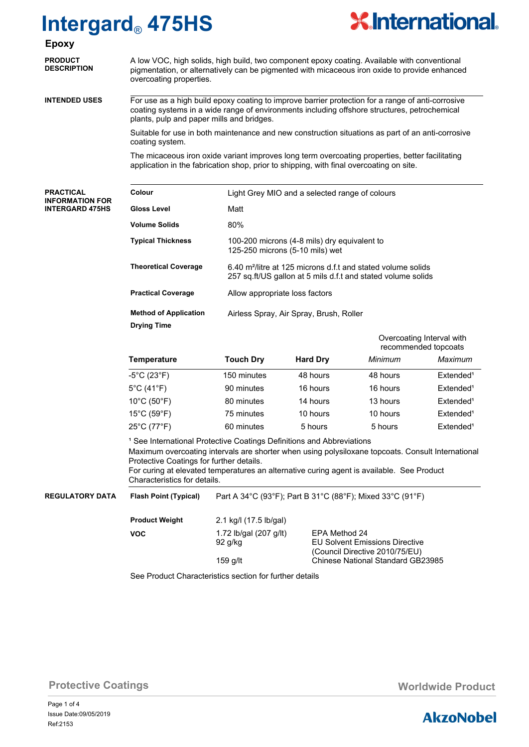

| <b>Epoxy</b>                                     |                                                                                                                                                                                                                                                                                                                                                                |                                                                                                                                          |                 |          |                       |  |
|--------------------------------------------------|----------------------------------------------------------------------------------------------------------------------------------------------------------------------------------------------------------------------------------------------------------------------------------------------------------------------------------------------------------------|------------------------------------------------------------------------------------------------------------------------------------------|-----------------|----------|-----------------------|--|
| <b>PRODUCT</b><br><b>DESCRIPTION</b>             | A low VOC, high solids, high build, two component epoxy coating. Available with conventional<br>pigmentation, or alternatively can be pigmented with micaceous iron oxide to provide enhanced<br>overcoating properties.                                                                                                                                       |                                                                                                                                          |                 |          |                       |  |
| <b>INTENDED USES</b>                             | For use as a high build epoxy coating to improve barrier protection for a range of anti-corrosive<br>coating systems in a wide range of environments including offshore structures, petrochemical<br>plants, pulp and paper mills and bridges.                                                                                                                 |                                                                                                                                          |                 |          |                       |  |
|                                                  | Suitable for use in both maintenance and new construction situations as part of an anti-corrosive<br>coating system.                                                                                                                                                                                                                                           |                                                                                                                                          |                 |          |                       |  |
|                                                  | The micaceous iron oxide variant improves long term overcoating properties, better facilitating<br>application in the fabrication shop, prior to shipping, with final overcoating on site.                                                                                                                                                                     |                                                                                                                                          |                 |          |                       |  |
| <b>PRACTICAL</b>                                 | Colour                                                                                                                                                                                                                                                                                                                                                         | Light Grey MIO and a selected range of colours                                                                                           |                 |          |                       |  |
| <b>INFORMATION FOR</b><br><b>INTERGARD 475HS</b> | <b>Gloss Level</b>                                                                                                                                                                                                                                                                                                                                             | Matt                                                                                                                                     |                 |          |                       |  |
|                                                  | <b>Volume Solids</b>                                                                                                                                                                                                                                                                                                                                           | 80%                                                                                                                                      |                 |          |                       |  |
|                                                  | <b>Typical Thickness</b>                                                                                                                                                                                                                                                                                                                                       | 100-200 microns (4-8 mils) dry equivalent to<br>125-250 microns (5-10 mils) wet                                                          |                 |          |                       |  |
|                                                  | <b>Theoretical Coverage</b>                                                                                                                                                                                                                                                                                                                                    | 6.40 m <sup>2</sup> /litre at 125 microns d.f.t and stated volume solids<br>257 sq.ft/US gallon at 5 mils d.f.t and stated volume solids |                 |          |                       |  |
|                                                  | <b>Practical Coverage</b>                                                                                                                                                                                                                                                                                                                                      | Allow appropriate loss factors                                                                                                           |                 |          |                       |  |
|                                                  | <b>Method of Application</b><br><b>Drying Time</b>                                                                                                                                                                                                                                                                                                             | Airless Spray, Air Spray, Brush, Roller                                                                                                  |                 |          |                       |  |
|                                                  |                                                                                                                                                                                                                                                                                                                                                                | Overcoating Interval with<br>recommended topcoats                                                                                        |                 |          |                       |  |
|                                                  | Temperature                                                                                                                                                                                                                                                                                                                                                    | <b>Touch Dry</b>                                                                                                                         | <b>Hard Dry</b> | Minimum  | Maximum               |  |
|                                                  | $-5^{\circ}$ C (23 $^{\circ}$ F)                                                                                                                                                                                                                                                                                                                               | 150 minutes                                                                                                                              | 48 hours        | 48 hours | Extended <sup>1</sup> |  |
|                                                  | $5^{\circ}$ C (41 $^{\circ}$ F)                                                                                                                                                                                                                                                                                                                                | 90 minutes                                                                                                                               | 16 hours        | 16 hours | Extended <sup>1</sup> |  |
|                                                  | $10^{\circ}$ C (50 $^{\circ}$ F)                                                                                                                                                                                                                                                                                                                               | 80 minutes                                                                                                                               | 14 hours        | 13 hours | Extended <sup>1</sup> |  |
|                                                  | $15^{\circ}$ C (59 $^{\circ}$ F)                                                                                                                                                                                                                                                                                                                               | 75 minutes                                                                                                                               | 10 hours        | 10 hours | Extended <sup>1</sup> |  |
|                                                  | 25°C (77°F)                                                                                                                                                                                                                                                                                                                                                    | 60 minutes                                                                                                                               | 5 hours         | 5 hours  | Extended <sup>1</sup> |  |
|                                                  | <sup>1</sup> See International Protective Coatings Definitions and Abbreviations<br>Maximum overcoating intervals are shorter when using polysiloxane topcoats. Consult International<br>Protective Coatings for further details.<br>For curing at elevated temperatures an alternative curing agent is available. See Product<br>Characteristics for details. |                                                                                                                                          |                 |          |                       |  |

Part A 34°C (93°F); Part B 31°C (88°F); Mixed 33°C (91°F) **REGULATORY DATA Flash Point (Typical)**

> **Product Weight VOC**

2.1 kg/l (17.5 lb/gal) 1.72 lb/gal (207 g/lt) EPA Method 24<br>92 g/kg EU Solvent Emis

**EU Solvent Emissions Directive** (Council Directive 2010/75/EU) 159 g/lt Chinese National Standard GB23985

See Product Characteristics section for further details

**Protective Coatings Monday Coatings Monday Assume Monday Assume Monday Assume Monday Assume Monday Assume Monday Assume Monday Assume Monday Assume Monday Assume Monday Assume Monday Assume Monday Assume Monday Assume** 

Page 1 of 4 Ref:2153 Issue Date:09/05/2019

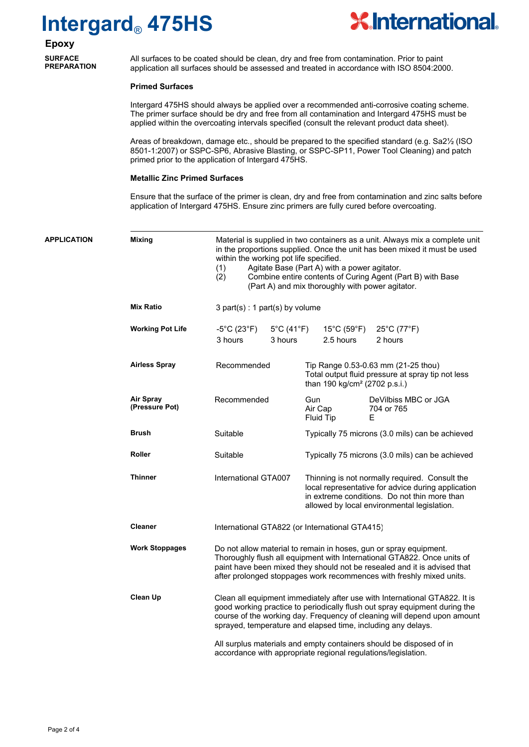

**Epoxy SURFACE PREPARATION**

All surfaces to be coated should be clean, dry and free from contamination. Prior to paint application all surfaces should be assessed and treated in accordance with ISO 8504:2000.

### **Primed Surfaces**

Intergard 475HS should always be applied over a recommended anti-corrosive coating scheme. The primer surface should be dry and free from all contamination and Intergard 475HS must be applied within the overcoating intervals specified (consult the relevant product data sheet).

Areas of breakdown, damage etc., should be prepared to the specified standard (e.g. Sa2½ (ISO 8501-1:2007) or SSPC-SP6, Abrasive Blasting, or SSPC-SP11, Power Tool Cleaning) and patch primed prior to the application of Intergard 475HS.

### **Metallic Zinc Primed Surfaces**

Ensure that the surface of the primer is clean, dry and free from contamination and zinc salts before application of Intergard 475HS. Ensure zinc primers are fully cured before overcoating.

| <b>APPLICATION</b> | <b>Mixing</b>               | Material is supplied in two containers as a unit. Always mix a complete unit<br>in the proportions supplied. Once the unit has been mixed it must be used<br>within the working pot life specified.<br>Agitate Base (Part A) with a power agitator.<br>(1)<br>Combine entire contents of Curing Agent (Part B) with Base<br>(2)<br>(Part A) and mix thoroughly with power agitator.                                                          |                                                                                                                                                                                                     |  |  |
|--------------------|-----------------------------|----------------------------------------------------------------------------------------------------------------------------------------------------------------------------------------------------------------------------------------------------------------------------------------------------------------------------------------------------------------------------------------------------------------------------------------------|-----------------------------------------------------------------------------------------------------------------------------------------------------------------------------------------------------|--|--|
|                    | <b>Mix Ratio</b>            | 3 part(s) : 1 part(s) by volume                                                                                                                                                                                                                                                                                                                                                                                                              |                                                                                                                                                                                                     |  |  |
|                    | <b>Working Pot Life</b>     | $-5^{\circ}$ C (23 $^{\circ}$ F)<br>$5^{\circ}$ C (41 $^{\circ}$ F)<br>3 hours<br>3 hours                                                                                                                                                                                                                                                                                                                                                    | 15°C (59°F) 25°C (77°F)<br>2.5 hours<br>2 hours                                                                                                                                                     |  |  |
|                    | <b>Airless Spray</b>        | Recommended                                                                                                                                                                                                                                                                                                                                                                                                                                  | Tip Range 0.53-0.63 mm (21-25 thou)<br>Total output fluid pressure at spray tip not less<br>than 190 kg/cm <sup>2</sup> (2702 p.s.i.)                                                               |  |  |
|                    | Air Spray<br>(Pressure Pot) | Recommended                                                                                                                                                                                                                                                                                                                                                                                                                                  | Gun<br>DeVilbiss MBC or JGA<br>Air Cap<br>704 or 765<br>Fluid Tip<br>Е                                                                                                                              |  |  |
|                    | <b>Brush</b>                | Suitable                                                                                                                                                                                                                                                                                                                                                                                                                                     | Typically 75 microns (3.0 mils) can be achieved                                                                                                                                                     |  |  |
|                    | <b>Roller</b>               | Suitable                                                                                                                                                                                                                                                                                                                                                                                                                                     | Typically 75 microns (3.0 mils) can be achieved                                                                                                                                                     |  |  |
|                    | <b>Thinner</b>              | International GTA007                                                                                                                                                                                                                                                                                                                                                                                                                         | Thinning is not normally required. Consult the<br>local representative for advice during application<br>in extreme conditions. Do not thin more than<br>allowed by local environmental legislation. |  |  |
|                    | <b>Cleaner</b>              | International GTA822 (or International GTA415)                                                                                                                                                                                                                                                                                                                                                                                               |                                                                                                                                                                                                     |  |  |
|                    | <b>Work Stoppages</b>       | Do not allow material to remain in hoses, gun or spray equipment.<br>Thoroughly flush all equipment with International GTA822. Once units of<br>paint have been mixed they should not be resealed and it is advised that<br>after prolonged stoppages work recommences with freshly mixed units.                                                                                                                                             |                                                                                                                                                                                                     |  |  |
|                    | <b>Clean Up</b>             | Clean all equipment immediately after use with International GTA822. It is<br>good working practice to periodically flush out spray equipment during the<br>course of the working day. Frequency of cleaning will depend upon amount<br>sprayed, temperature and elapsed time, including any delays.<br>All surplus materials and empty containers should be disposed of in<br>accordance with appropriate regional regulations/legislation. |                                                                                                                                                                                                     |  |  |
|                    |                             |                                                                                                                                                                                                                                                                                                                                                                                                                                              |                                                                                                                                                                                                     |  |  |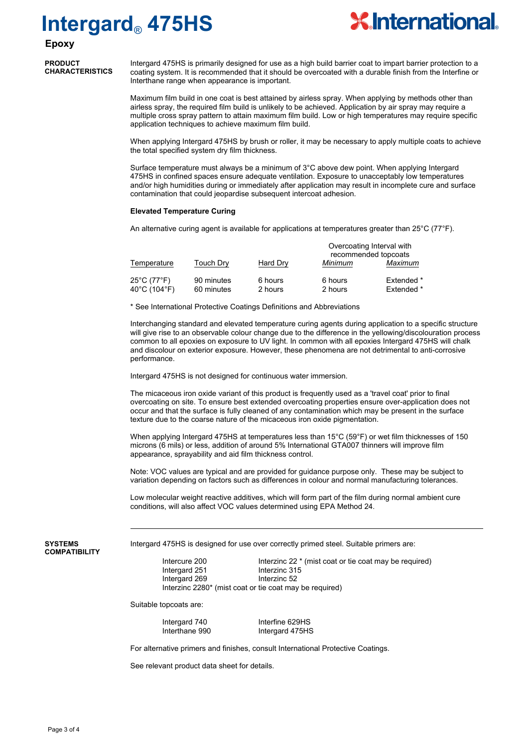

## **Epoxy**

**PRODUCT CHARACTERISTICS**

Intergard 475HS is primarily designed for use as a high build barrier coat to impart barrier protection to a coating system. It is recommended that it should be overcoated with a durable finish from the Interfine or Interthane range when appearance is important.

Maximum film build in one coat is best attained by airless spray. When applying by methods other than airless spray, the required film build is unlikely to be achieved. Application by air spray may require a multiple cross spray pattern to attain maximum film build. Low or high temperatures may require specific application techniques to achieve maximum film build.

When applying Intergard 475HS by brush or roller, it may be necessary to apply multiple coats to achieve the total specified system dry film thickness.

Surface temperature must always be a minimum of 3°C above dew point. When applying Intergard 475HS in confined spaces ensure adequate ventilation. Exposure to unacceptably low temperatures and/or high humidities during or immediately after application may result in incomplete cure and surface contamination that could jeopardise subsequent intercoat adhesion.

### **Elevated Temperature Curing**

An alternative curing agent is available for applications at temperatures greater than  $25^{\circ}$ C (77 $^{\circ}$ F).

|                             |                          |                    | Overcoating Interval with<br>recommended topcoats |                          |
|-----------------------------|--------------------------|--------------------|---------------------------------------------------|--------------------------|
| Temperature                 | Touch Dry                | Hard Dry           | Minimum                                           | Maximum                  |
| 25°C (77°F)<br>40°C (104°F) | 90 minutes<br>60 minutes | 6 hours<br>2 hours | 6 hours<br>2 hours                                | Extended *<br>Extended * |

\* See International Protective Coatings Definitions and Abbreviations

Interchanging standard and elevated temperature curing agents during application to a specific structure will give rise to an observable colour change due to the difference in the yellowing/discolouration process common to all epoxies on exposure to UV light. In common with all epoxies Intergard 475HS will chalk and discolour on exterior exposure. However, these phenomena are not detrimental to anti-corrosive performance.

Intergard 475HS is not designed for continuous water immersion.

The micaceous iron oxide variant of this product is frequently used as a 'travel coat' prior to final overcoating on site. To ensure best extended overcoating properties ensure over-application does not occur and that the surface is fully cleaned of any contamination which may be present in the surface texture due to the coarse nature of the micaceous iron oxide pigmentation.

When applying Intergard 475HS at temperatures less than 15°C (59°F) or wet film thicknesses of 150 microns (6 mils) or less, addition of around 5% International GTA007 thinners will improve film appearance, sprayability and aid film thickness control.

Note: VOC values are typical and are provided for guidance purpose only. These may be subject to variation depending on factors such as differences in colour and normal manufacturing tolerances.

Low molecular weight reactive additives, which will form part of the film during normal ambient cure conditions, will also affect VOC values determined using EPA Method 24.

**SYSTEMS COMPATIBILITY** Intergard 475HS is designed for use over correctly primed steel. Suitable primers are:

Intercure 200 Interzinc 22 \* (mist coat or tie coat may be required)<br>Interand 251 Interzinc 315 Intergard 251 Interzinc 31<br>Intergard 269 Interzinc 52 Intergard 269 Interzinc 2280\* (mist coat or tie coat may be required)

Suitable topcoats are:

Intergard 740 Interfine 629HS Interthane 990 Intergard 475HS

For alternative primers and finishes, consult International Protective Coatings.

See relevant product data sheet for details.